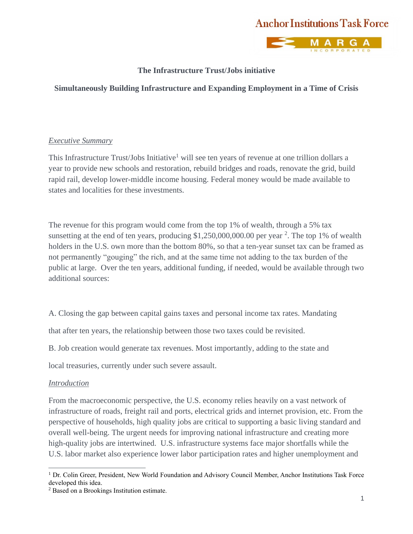



### **The Infrastructure Trust/Jobs initiative**

### **Simultaneously Building Infrastructure and Expanding Employment in a Time of Crisis**

#### *Executive Summary*

This Infrastructure Trust/Jobs Initiative<sup>1</sup> will see ten years of revenue at one trillion dollars a year to provide new schools and restoration, rebuild bridges and roads, renovate the grid, build rapid rail, develop lower-middle income housing. Federal money would be made available to states and localities for these investments.

The revenue for this program would come from the top 1% of wealth, through a 5% tax sunsetting at the end of ten years, producing  $$1,250,000,000.00$  per year  $^{2}$ . The top 1% of wealth holders in the U.S. own more than the bottom 80%, so that a ten-year sunset tax can be framed as not permanently "gouging" the rich, and at the same time not adding to the tax burden of the public at large. Over the ten years, additional funding, if needed, would be available through two additional sources:

A. Closing the gap between capital gains taxes and personal income tax rates. Mandating

that after ten years, the relationship between those two taxes could be revisited.

B. Job creation would generate tax revenues. Most importantly, adding to the state and

local treasuries, currently under such severe assault.

### *Introduction*

From the macroeconomic perspective, the U.S. economy relies heavily on a vast network of infrastructure of roads, freight rail and ports, electrical grids and internet provision, etc. From the perspective of households, high quality jobs are critical to supporting a basic living standard and overall well-being. The urgent needs for improving national infrastructure and creating more high-quality jobs are intertwined. U.S. infrastructure systems face major shortfalls while the U.S. labor market also experience lower labor participation rates and higher unemployment and

<sup>&</sup>lt;sup>1</sup> Dr. Colin Greer, President, New World Foundation and Advisory Council Member, Anchor Institutions Task Force developed this idea.

<sup>2</sup> Based on a Brookings Institution estimate.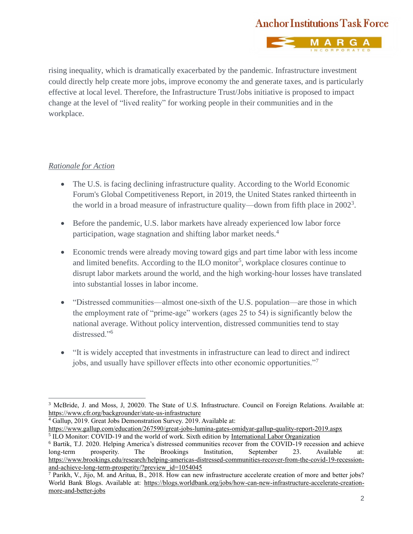

rising inequality, which is dramatically exacerbated by the pandemic. Infrastructure investment could directly help create more jobs, improve economy the and generate taxes, and is particularly effective at local level. Therefore, the Infrastructure Trust/Jobs initiative is proposed to impact change at the level of "lived reality" for working people in their communities and in the workplace.

### *Rationale for Action*

- The U.S. is facing declining infrastructure quality. According to the World Economic Forum's Global Competitiveness Report, in 2019, the United States ranked thirteenth in the world in a broad measure of infrastructure quality—down from fifth place in  $2002^3$ .
- Before the pandemic, U.S. labor markets have already experienced low labor force participation, wage stagnation and shifting labor market needs.<sup>4</sup>
- Economic trends were already moving toward gigs and part time labor with less income and limited benefits. According to the ILO monitor<sup>5</sup>, workplace closures continue to disrupt labor markets around the world, and the high working-hour losses have translated into substantial losses in labor income.
- "Distressed communities—almost one-sixth of the U.S. population—are those in which the employment rate of "prime-age" workers (ages 25 to 54) is significantly below the national average. Without policy intervention, distressed communities tend to stay distressed."<sup>6</sup>
- "It is widely accepted that investments in infrastructure can lead to direct and indirect jobs, and usually have spillover effects into other economic opportunities."<sup>7</sup>

<sup>4</sup> Gallup, 2019. Great Jobs Demonstration Survey. 2019. Available at:

<sup>&</sup>lt;sup>3</sup> McBride, J. and Moss, J. 20020. The State of U.S. Infrastructure. Council on Foreign Relations. Available at: <https://www.cfr.org/backgrounder/state-us-infrastructure>

<https://www.gallup.com/education/267590/great-jobs-lumina-gates-omidyar-gallup-quality-report-2019.aspx> <sup>5</sup> ILO Monitor: COVID-19 and the world of work. Sixth edition b[y International Labor Organization](https://www.ilo.org/wcmsp5/groups/public/@dgreports/@dcomm/documents/briefingnote/wcms_755910.pdf)

<sup>6</sup> Bartik, T.J. 2020. Helping America's distressed communities recover from the COVID-19 recession and achieve long-term prosperity. The Brookings Institution, September 23. Available at: [https://www.brookings.edu/research/helping-americas-distressed-communities-recover-from-the-covid-19-recession](https://www.brookings.edu/research/helping-americas-distressed-communities-recover-from-the-covid-19-recession-and-achieve-long-term-prosperity/?preview_id=1054045)[and-achieve-long-term-prosperity/?preview\\_id=1054045](https://www.brookings.edu/research/helping-americas-distressed-communities-recover-from-the-covid-19-recession-and-achieve-long-term-prosperity/?preview_id=1054045)

<sup>7</sup> Parikh, V., Jijo, M. and Aritua, B., 2018. How can new infrastructure accelerate creation of more and better jobs? World Bank Blogs. Available at: [https://blogs.worldbank.org/jobs/how-can-new-infrastructure-accelerate-creation](https://blogs.worldbank.org/jobs/how-can-new-infrastructure-accelerate-creation-more-and-better-jobs)[more-and-better-jobs](https://blogs.worldbank.org/jobs/how-can-new-infrastructure-accelerate-creation-more-and-better-jobs)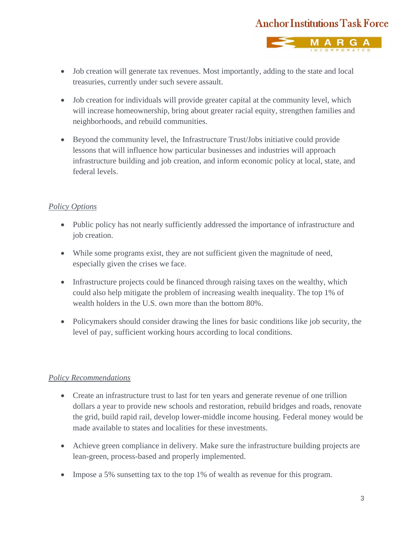

- Job creation will generate tax revenues. Most importantly, adding to the state and local treasuries, currently under such severe assault.
- Job creation for individuals will provide greater capital at the community level, which will increase homeownership, bring about greater racial equity, strengthen families and neighborhoods, and rebuild communities.
- Beyond the community level, the Infrastructure Trust/Jobs initiative could provide lessons that will influence how particular businesses and industries will approach infrastructure building and job creation, and inform economic policy at local, state, and federal levels.

### *Policy Options*

- Public policy has not nearly sufficiently addressed the importance of infrastructure and job creation.
- While some programs exist, they are not sufficient given the magnitude of need, especially given the crises we face.
- Infrastructure projects could be financed through raising taxes on the wealthy, which could also help mitigate the problem of increasing wealth inequality. The top 1% of wealth holders in the U.S. own more than the bottom 80%.
- Policymakers should consider drawing the lines for basic conditions like job security, the level of pay, sufficient working hours according to local conditions.

### *Policy Recommendations*

- Create an infrastructure trust to last for ten years and generate revenue of one trillion dollars a year to provide new schools and restoration, rebuild bridges and roads, renovate the grid, build rapid rail, develop lower-middle income housing. Federal money would be made available to states and localities for these investments.
- Achieve green compliance in delivery. Make sure the infrastructure building projects are lean-green, process-based and properly implemented.
- Impose a 5% sunsetting tax to the top 1% of wealth as revenue for this program.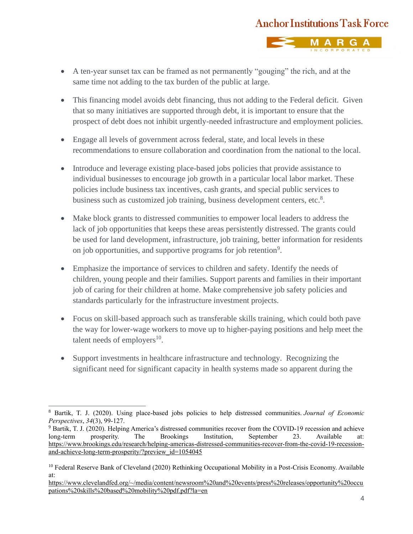

- A ten-year sunset tax can be framed as not permanently "gouging" the rich, and at the same time not adding to the tax burden of the public at large.
- This financing model avoids debt financing, thus not adding to the Federal deficit. Given that so many initiatives are supported through debt, it is important to ensure that the prospect of debt does not inhibit urgently-needed infrastructure and employment policies.
- Engage all levels of government across federal, state, and local levels in these recommendations to ensure collaboration and coordination from the national to the local.
- Introduce and leverage existing place-based jobs policies that provide assistance to individual businesses to encourage job growth in a particular local labor market. These policies include business tax incentives, cash grants, and special public services to business such as customized job training, business development centers, etc.<sup>8</sup>.
- Make block grants to distressed communities to empower local leaders to address the lack of job opportunities that keeps these areas persistently distressed. The grants could be used for land development, infrastructure, job training, better information for residents on job opportunities, and supportive programs for job retention<sup>9</sup>.
- Emphasize the importance of services to children and safety. Identify the needs of children, young people and their families. Support parents and families in their important job of caring for their children at home. Make comprehensive job safety policies and standards particularly for the infrastructure investment projects.
- Focus on skill-based approach such as transferable skills training, which could both pave the way for lower-wage workers to move up to higher-paying positions and help meet the talent needs of employers $^{10}$ .
- Support investments in healthcare infrastructure and technology. Recognizing the significant need for significant capacity in health systems made so apparent during the

<sup>8</sup> Bartik, T. J. (2020). Using place-based jobs policies to help distressed communities. *Journal of Economic Perspectives*, *34*(3), 99-127.

<sup>9</sup> Bartik, T. J. (2020). Helping America's distressed communities recover from the COVID-19 recession and achieve long-term prosperity. The Brookings Institution, September 23. Available at: [https://www.brookings.edu/research/helping-americas-distressed-communities-recover-from-the-covid-19-recession](https://www.brookings.edu/research/helping-americas-distressed-communities-recover-from-the-covid-19-recession-and-achieve-long-term-prosperity/?preview_id=1054045)[and-achieve-long-term-prosperity/?preview\\_id=1054045](https://www.brookings.edu/research/helping-americas-distressed-communities-recover-from-the-covid-19-recession-and-achieve-long-term-prosperity/?preview_id=1054045)

<sup>&</sup>lt;sup>10</sup> Federal Reserve Bank of Cleveland (2020) Rethinking Occupational Mobility in a Post-Crisis Economy. Available at:

[https://www.clevelandfed.org/~/media/content/newsroom%20and%20events/press%20releases/opportunity%20occu](https://www.clevelandfed.org/~/media/content/newsroom%20and%20events/press%20releases/opportunity%20occupations%20skills%20based%20mobility%20pdf.pdf?la=en) [pations%20skills%20based%20mobility%20pdf.pdf?la=en](https://www.clevelandfed.org/~/media/content/newsroom%20and%20events/press%20releases/opportunity%20occupations%20skills%20based%20mobility%20pdf.pdf?la=en)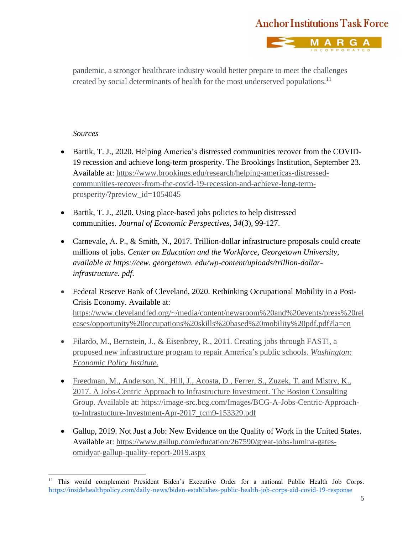

pandemic, a stronger healthcare industry would better prepare to meet the challenges created by social determinants of health for the most underserved populations.<sup>11</sup>

#### *Sources*

- Bartik, T. J., 2020. Helping America's distressed communities recover from the COVID-19 recession and achieve long-term prosperity. The Brookings Institution, September 23. Available at: [https://www.brookings.edu/research/helping-americas-distressed](https://www.brookings.edu/research/helping-americas-distressed-communities-recover-from-the-covid-19-recession-and-achieve-long-term-prosperity/?preview_id=1054045)[communities-recover-from-the-covid-19-recession-and-achieve-long-term](https://www.brookings.edu/research/helping-americas-distressed-communities-recover-from-the-covid-19-recession-and-achieve-long-term-prosperity/?preview_id=1054045)[prosperity/?preview\\_id=1054045](https://www.brookings.edu/research/helping-americas-distressed-communities-recover-from-the-covid-19-recession-and-achieve-long-term-prosperity/?preview_id=1054045)
- Bartik, T. J., 2020. Using place-based jobs policies to help distressed communities. *Journal of Economic Perspectives*, *34*(3), 99-127.
- Carnevale, A. P., & Smith, N., 2017. Trillion-dollar infrastructure proposals could create millions of jobs. *Center on Education and the Workforce, Georgetown University, available at https://cew. georgetown. edu/wp-content/uploads/trillion-dollarinfrastructure. pdf*.
- Federal Reserve Bank of Cleveland, 2020. Rethinking Occupational Mobility in a Post-Crisis Economy. Available at: [https://www.clevelandfed.org/~/media/content/newsroom%20and%20events/press%20rel](https://www.clevelandfed.org/~/media/content/newsroom%20and%20events/press%20releases/opportunity%20occupations%20skills%20based%20mobility%20pdf.pdf?la=en) [eases/opportunity%20occupations%20skills%20based%20mobility%20pdf.pdf?la=en](https://www.clevelandfed.org/~/media/content/newsroom%20and%20events/press%20releases/opportunity%20occupations%20skills%20based%20mobility%20pdf.pdf?la=en)
- Filardo, M., Bernstein, J., & Eisenbrey, R., 2011. Creating jobs through FAST!, a proposed new infrastructure program to repair America's public schools. *Washington: Economic Policy Institute*.
- Freedman, M., Anderson, N., Hill, J., Acosta, D., Ferrer, S., Zuzek, T. and Mistry, K., 2017. A Jobs-Centric Approach to Infrastructure Investment. The Boston Consulting Group. Available at: [https://image-src.bcg.com/Images/BCG-A-Jobs-Centric-Approach](https://image-src.bcg.com/Images/BCG-A-Jobs-Centric-Approach-to-Infrastucture-Investment-Apr-2017_tcm9-153329.pdf)[to-Infrastucture-Investment-Apr-2017\\_tcm9-153329.pdf](https://image-src.bcg.com/Images/BCG-A-Jobs-Centric-Approach-to-Infrastucture-Investment-Apr-2017_tcm9-153329.pdf)
- Gallup, 2019. Not Just a Job: New Evidence on the Quality of Work in the United States. Available at: [https://www.gallup.com/education/267590/great-jobs-lumina-gates](https://www.gallup.com/education/267590/great-jobs-lumina-gates-omidyar-gallup-quality-report-2019.aspx)[omidyar-gallup-quality-report-2019.aspx](https://www.gallup.com/education/267590/great-jobs-lumina-gates-omidyar-gallup-quality-report-2019.aspx)

<sup>&</sup>lt;sup>11</sup> This would complement President Biden's Executive Order for a national Public Health Job Corps. https://insidehealthpolicy.com/daily-news/biden-establishes-public-health-job-corps-aid-covid-19-response